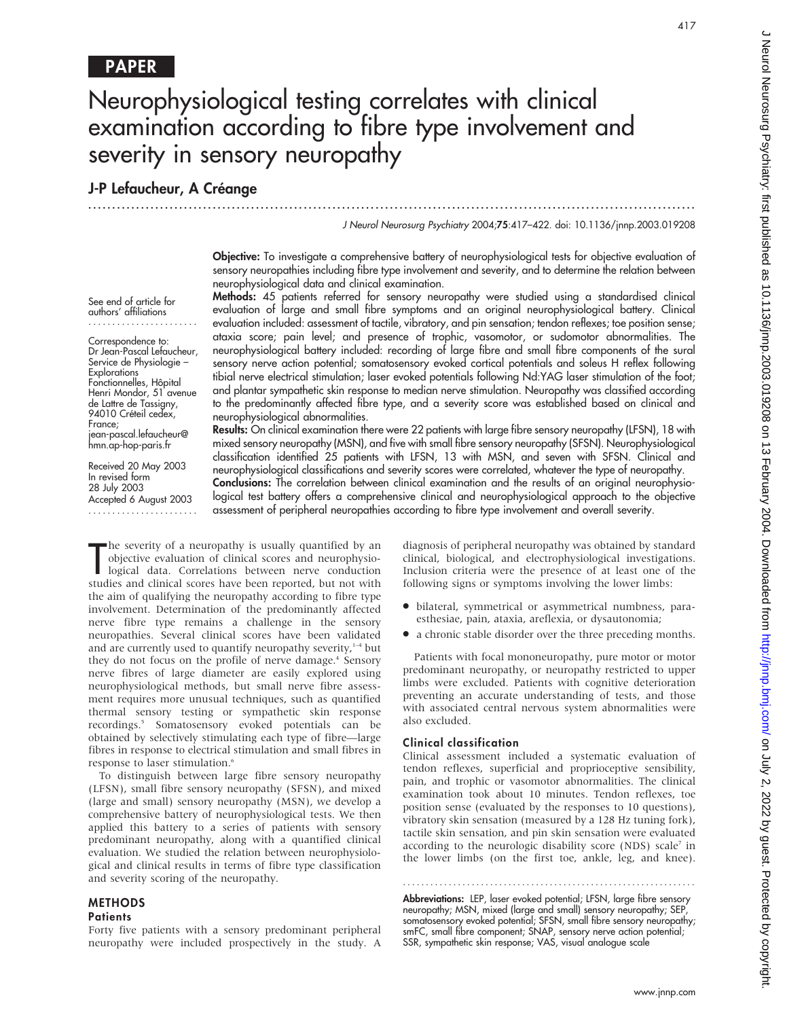# Neurophysiological testing correlates with clinical examination according to fibre type involvement and severity in sensory neuropathy

.............................................................................................................................. .

# J-P Lefaucheur, A Créange

#### J Neurol Neurosurg Psychiatry 2004;75:417–422. doi: 10.1136/jnnp.2003.019208

Objective: To investigate a comprehensive battery of neurophysiological tests for objective evaluation of sensory neuropathies including fibre type involvement and severity, and to determine the relation between neurophysiological data and clinical examination.

See end of article for authors' affiliations .......................

Correspondence to: Dr Jean-Pascal Lefaucheur, Service de Physiologie – **Explorations** Fonctionnelles, Hôpital Henri Mondor, 51 avenue de Lattre de Tassigny, 94010 Créteil cedex, France; jean-pascal.lefaucheur@ hmn.ap-hop-paris.fr

Received 20 May 2003 In revised form 28 July 2003 Accepted 6 August 2003 ....................... Methods: 45 patients referred for sensory neuropathy were studied using a standardised clinical evaluation of large and small fibre symptoms and an original neurophysiological battery. Clinical evaluation included: assessment of tactile, vibratory, and pin sensation; tendon reflexes; toe position sense; ataxia score; pain level; and presence of trophic, vasomotor, or sudomotor abnormalities. The neurophysiological battery included: recording of large fibre and small fibre components of the sural sensory nerve action potential; somatosensory evoked cortical potentials and soleus H reflex following tibial nerve electrical stimulation; laser evoked potentials following Nd:YAG laser stimulation of the foot; and plantar sympathetic skin response to median nerve stimulation. Neuropathy was classified according to the predominantly affected fibre type, and a severity score was established based on clinical and neurophysiological abnormalities.

Results: On clinical examination there were 22 patients with large fibre sensory neuropathy (LFSN), 18 with mixed sensory neuropathy (MSN), and five with small fibre sensory neuropathy (SFSN). Neurophysiological classification identified 25 patients with LFSN, 13 with MSN, and seven with SFSN. Clinical and neurophysiological classifications and severity scores were correlated, whatever the type of neuropathy. Conclusions: The correlation between clinical examination and the results of an original neurophysio-

logical test battery offers a comprehensive clinical and neurophysiological approach to the objective assessment of peripheral neuropathies according to fibre type involvement and overall severity.

The severity of a neuropathy is usually quantified by an objective evaluation of clinical scores and neurophysiological data. Correlations between nerve conduction studies and clinical scores have been reported, but not wi he severity of a neuropathy is usually quantified by an objective evaluation of clinical scores and neurophysiological data. Correlations between nerve conduction the aim of qualifying the neuropathy according to fibre type involvement. Determination of the predominantly affected nerve fibre type remains a challenge in the sensory neuropathies. Several clinical scores have been validated and are currently used to quantify neuropathy severity, $1-4$  but they do not focus on the profile of nerve damage.<sup>4</sup> Sensory nerve fibres of large diameter are easily explored using neurophysiological methods, but small nerve fibre assessment requires more unusual techniques, such as quantified thermal sensory testing or sympathetic skin response recordings.5 Somatosensory evoked potentials can be obtained by selectively stimulating each type of fibre—large fibres in response to electrical stimulation and small fibres in response to laser stimulation.<sup>6</sup>

To distinguish between large fibre sensory neuropathy (LFSN), small fibre sensory neuropathy (SFSN), and mixed (large and small) sensory neuropathy (MSN), we develop a comprehensive battery of neurophysiological tests. We then applied this battery to a series of patients with sensory predominant neuropathy, along with a quantified clinical evaluation. We studied the relation between neurophysiological and clinical results in terms of fibre type classification and severity scoring of the neuropathy.

# METHODS

# **Patients**

Forty five patients with a sensory predominant peripheral neuropathy were included prospectively in the study. A diagnosis of peripheral neuropathy was obtained by standard clinical, biological, and electrophysiological investigations. Inclusion criteria were the presence of at least one of the following signs or symptoms involving the lower limbs:

- N bilateral, symmetrical or asymmetrical numbness, paraesthesiae, pain, ataxia, areflexia, or dysautonomia;
- N a chronic stable disorder over the three preceding months.

Patients with focal mononeuropathy, pure motor or motor predominant neuropathy, or neuropathy restricted to upper limbs were excluded. Patients with cognitive deterioration preventing an accurate understanding of tests, and those with associated central nervous system abnormalities were also excluded.

#### Clinical classification

Clinical assessment included a systematic evaluation of tendon reflexes, superficial and proprioceptive sensibility, pain, and trophic or vasomotor abnormalities. The clinical examination took about 10 minutes. Tendon reflexes, toe position sense (evaluated by the responses to 10 questions), vibratory skin sensation (measured by a 128 Hz tuning fork), tactile skin sensation, and pin skin sensation were evaluated according to the neurologic disability score (NDS) scale<sup>7</sup> in the lower limbs (on the first toe, ankle, leg, and knee).

Abbreviations: LEP, laser evoked potential; LFSN, large fibre sensory neuropathy; MSN, mixed (large and small) sensory neuropathy; SEP, somatosensory evoked potential; SFSN, small fibre sensory neuropathy; smFC, small fibre component; SNAP, sensory nerve action potential; SSR, sympathetic skin response; VAS, visual analogue scale

............................................................... .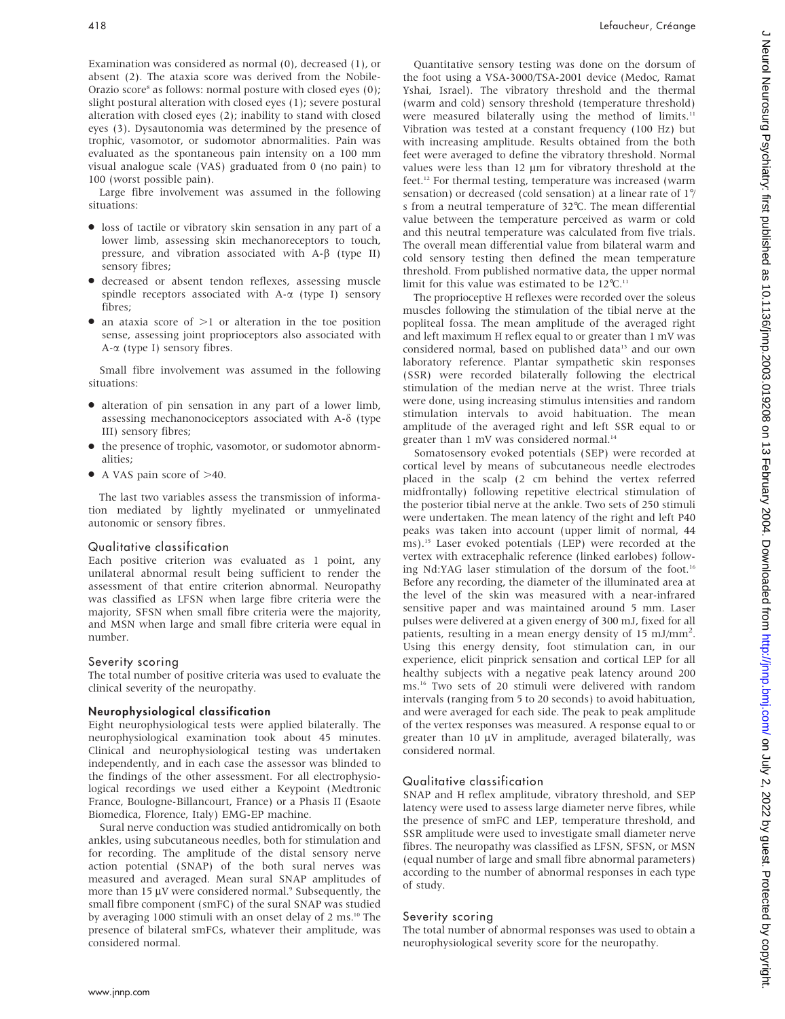Examination was considered as normal (0), decreased (1), or absent (2). The ataxia score was derived from the Nobile-Orazio score<sup>8</sup> as follows: normal posture with closed eyes (0); slight postural alteration with closed eyes (1); severe postural alteration with closed eyes (2); inability to stand with closed eyes (3). Dysautonomia was determined by the presence of trophic, vasomotor, or sudomotor abnormalities. Pain was evaluated as the spontaneous pain intensity on a 100 mm visual analogue scale (VAS) graduated from 0 (no pain) to 100 (worst possible pain).

Large fibre involvement was assumed in the following situations:

- loss of tactile or vibratory skin sensation in any part of a lower limb, assessing skin mechanoreceptors to touch, pressure, and vibration associated with  $A-\beta$  (type II) sensory fibres;
- N decreased or absent tendon reflexes, assessing muscle spindle receptors associated with A- $\alpha$  (type I) sensory fibres;
- $\bullet$  an ataxia score of  $>1$  or alteration in the toe position sense, assessing joint proprioceptors also associated with  $A-\alpha$  (type I) sensory fibres.

Small fibre involvement was assumed in the following situations:

- N alteration of pin sensation in any part of a lower limb, assessing mechanonociceptors associated with A- $\delta$  (type III) sensory fibres;
- $\bullet$  the presence of trophic, vasomotor, or sudomotor abnormalities;
- $\bullet$  A VAS pain score of  $>40$ .

The last two variables assess the transmission of information mediated by lightly myelinated or unmyelinated autonomic or sensory fibres.

#### Qualitative classification

Each positive criterion was evaluated as 1 point, any unilateral abnormal result being sufficient to render the assessment of that entire criterion abnormal. Neuropathy was classified as LFSN when large fibre criteria were the majority, SFSN when small fibre criteria were the majority, and MSN when large and small fibre criteria were equal in number.

#### Severity scoring

The total number of positive criteria was used to evaluate the clinical severity of the neuropathy.

#### Neurophysiological classification

Eight neurophysiological tests were applied bilaterally. The neurophysiological examination took about 45 minutes. Clinical and neurophysiological testing was undertaken independently, and in each case the assessor was blinded to the findings of the other assessment. For all electrophysiological recordings we used either a Keypoint (Medtronic France, Boulogne-Billancourt, France) or a Phasis II (Esaote Biomedica, Florence, Italy) EMG-EP machine.

Sural nerve conduction was studied antidromically on both ankles, using subcutaneous needles, both for stimulation and for recording. The amplitude of the distal sensory nerve action potential (SNAP) of the both sural nerves was measured and averaged. Mean sural SNAP amplitudes of more than  $15 \mu V$  were considered normal.<sup>9</sup> Subsequently, the small fibre component (smFC) of the sural SNAP was studied by averaging 1000 stimuli with an onset delay of 2 ms.<sup>10</sup> The presence of bilateral smFCs, whatever their amplitude, was considered normal.

Quantitative sensory testing was done on the dorsum of the foot using a VSA-3000/TSA-2001 device (Medoc, Ramat Yshai, Israel). The vibratory threshold and the thermal (warm and cold) sensory threshold (temperature threshold) were measured bilaterally using the method of limits.<sup>11</sup> Vibration was tested at a constant frequency (100 Hz) but with increasing amplitude. Results obtained from the both feet were averaged to define the vibratory threshold. Normal values were less than  $12 \mu m$  for vibratory threshold at the feet.<sup>12</sup> For thermal testing, temperature was increased (warm sensation) or decreased (cold sensation) at a linear rate of 1˚/ s from a neutral temperature of 32°C. The mean differential value between the temperature perceived as warm or cold and this neutral temperature was calculated from five trials. The overall mean differential value from bilateral warm and cold sensory testing then defined the mean temperature threshold. From published normative data, the upper normal limit for this value was estimated to be  $12^{\circ}C$ .<sup>11</sup>

The proprioceptive H reflexes were recorded over the soleus muscles following the stimulation of the tibial nerve at the popliteal fossa. The mean amplitude of the averaged right and left maximum H reflex equal to or greater than 1 mV was considered normal, based on published data<sup>13</sup> and our own laboratory reference. Plantar sympathetic skin responses (SSR) were recorded bilaterally following the electrical stimulation of the median nerve at the wrist. Three trials were done, using increasing stimulus intensities and random stimulation intervals to avoid habituation. The mean amplitude of the averaged right and left SSR equal to or greater than 1 mV was considered normal.<sup>14</sup>

Somatosensory evoked potentials (SEP) were recorded at cortical level by means of subcutaneous needle electrodes placed in the scalp (2 cm behind the vertex referred midfrontally) following repetitive electrical stimulation of the posterior tibial nerve at the ankle. Two sets of 250 stimuli were undertaken. The mean latency of the right and left P40 peaks was taken into account (upper limit of normal, 44 ms).15 Laser evoked potentials (LEP) were recorded at the vertex with extracephalic reference (linked earlobes) following Nd:YAG laser stimulation of the dorsum of the foot.<sup>16</sup> Before any recording, the diameter of the illuminated area at the level of the skin was measured with a near-infrared sensitive paper and was maintained around 5 mm. Laser pulses were delivered at a given energy of 300 mJ, fixed for all patients, resulting in a mean energy density of 15 mJ/mm<sup>2</sup>. Using this energy density, foot stimulation can, in our experience, elicit pinprick sensation and cortical LEP for all healthy subjects with a negative peak latency around 200 ms.16 Two sets of 20 stimuli were delivered with random intervals (ranging from 5 to 20 seconds) to avoid habituation, and were averaged for each side. The peak to peak amplitude of the vertex responses was measured. A response equal to or greater than 10  $\mu$ V in amplitude, averaged bilaterally, was considered normal.

#### Qualitative classification

SNAP and H reflex amplitude, vibratory threshold, and SEP latency were used to assess large diameter nerve fibres, while the presence of smFC and LEP, temperature threshold, and SSR amplitude were used to investigate small diameter nerve fibres. The neuropathy was classified as LFSN, SFSN, or MSN (equal number of large and small fibre abnormal parameters) according to the number of abnormal responses in each type of study.

#### Severity scoring

The total number of abnormal responses was used to obtain a neurophysiological severity score for the neuropathy.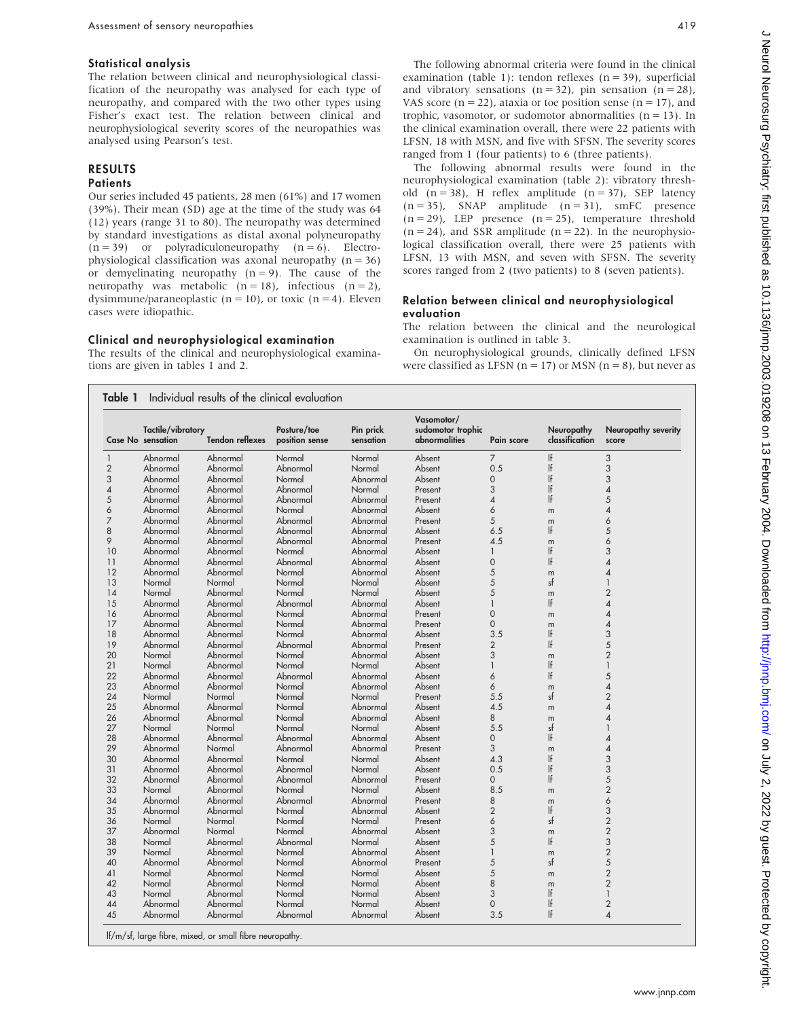#### Statistical analysis

The relation between clinical and neurophysiological classification of the neuropathy was analysed for each type of neuropathy, and compared with the two other types using Fisher's exact test. The relation between clinical and neurophysiological severity scores of the neuropathies was analysed using Pearson's test.

## RESULTS

#### **Patients**

Our series included 45 patients, 28 men (61%) and 17 women (39%). Their mean (SD) age at the time of the study was 64 (12) years (range 31 to 80). The neuropathy was determined by standard investigations as distal axonal polyneuropathy  $(n = 39)$  or polyradiculoneuropathy  $(n = 6)$ . Electrophysiological classification was axonal neuropathy  $(n = 36)$ or demyelinating neuropathy  $(n = 9)$ . The cause of the neuropathy was metabolic  $(n = 18)$ , infectious  $(n = 2)$ , dysimmune/paraneoplastic ( $n = 10$ ), or toxic ( $n = 4$ ). Eleven cases were idiopathic.

#### Clinical and neurophysiological examination

The results of the clinical and neurophysiological examinations are given in tables 1 and 2.

The following abnormal criteria were found in the clinical examination (table 1): tendon reflexes ( $n = 39$ ), superficial and vibratory sensations  $(n = 32)$ , pin sensation  $(n = 28)$ , VAS score ( $n = 22$ ), ataxia or toe position sense ( $n = 17$ ), and trophic, vasomotor, or sudomotor abnormalities  $(n = 13)$ . In the clinical examination overall, there were 22 patients with LFSN, 18 with MSN, and five with SFSN. The severity scores ranged from 1 (four patients) to 6 (three patients).

The following abnormal results were found in the neurophysiological examination (table 2): vibratory threshold  $(n = 38)$ , H reflex amplitude  $(n = 37)$ , SEP latency  $(n = 35)$ , SNAP amplitude  $(n = 31)$ , smFC presence  $(n = 29)$ , LEP presence  $(n = 25)$ , temperature threshold  $(n = 24)$ , and SSR amplitude  $(n = 22)$ . In the neurophysiological classification overall, there were 25 patients with LFSN, 13 with MSN, and seven with SFSN. The severity scores ranged from 2 (two patients) to 8 (seven patients).

#### Relation between clinical and neurophysiological evaluation

The relation between the clinical and the neurological examination is outlined in table 3.

On neurophysiological grounds, clinically defined LFSN were classified as LFSN ( $n = 17$ ) or MSN ( $n = 8$ ), but never as

|                | Tactile/vibratory<br><b>Case No sensation</b> | <b>Tendon reflexes</b> | Posture/toe<br>position sense | Pin prick<br>sensation | Vasomotor/<br>sudomotor trophic<br>abnormalities | Pain score               | Neuropathy<br>classification | Neuropathy severity<br>score |
|----------------|-----------------------------------------------|------------------------|-------------------------------|------------------------|--------------------------------------------------|--------------------------|------------------------------|------------------------------|
| $\mathbf{1}$   | Abnormal                                      | Abnormal               | Normal                        | Normal                 | Absent                                           | $\overline{7}$           | If                           | 3                            |
| $\overline{2}$ | Abnormal                                      | Abnormal               | Abnormal                      | Normal                 | Absent                                           | 0.5                      | If                           | 3                            |
| 3              | Abnormal                                      | Abnormal               | Normal                        | Abnormal               | Absent                                           | $\mathbf 0$              | If                           | 3                            |
| $\overline{4}$ | Abnormal                                      | Abnormal               | Abnormal                      | Normal                 | Present                                          | 3                        | If                           | $\overline{\mathcal{A}}$     |
| 5              | Abnormal                                      | Abnormal               | Abnormal                      | Abnormal               | Present                                          | $\overline{\mathcal{A}}$ | If                           | 5                            |
| 6              | Abnormal                                      | Abnormal               | Normal                        | Abnormal               | Absent                                           | 6                        | m                            | $\overline{4}$               |
| 7              | Abnormal                                      | Abnormal               | Abnormal                      | Abnormal               | Present                                          | 5                        | m                            | 6                            |
| 8              | Abnormal                                      | Abnormal               | Abnormal                      | Abnormal               | Absent                                           | 6.5                      | If                           | 5                            |
| 9              | Abnormal                                      | Abnormal               | Abnormal                      | Abnormal               | Present                                          | 4.5                      | m                            | 6                            |
| 10             | Abnormal                                      | Abnormal               | Normal                        | Abnormal               | Absent                                           | $\mathbf{1}$             | If                           | 3                            |
| 11             | Abnormal                                      | Abnormal               | Abnormal                      | Abnormal               | Absent                                           | $\mathbf 0$              | If                           | $\overline{\mathcal{A}}$     |
| 12             | Abnormal                                      | Abnormal               | Normal                        | Abnormal               | Absent                                           | 5                        | m                            | $\overline{4}$               |
| 13             | Normal                                        | Normal                 | Normal                        | Normal                 | Absent                                           | 5                        | sf                           | $\mathbf{1}$                 |
| 14             | Normal                                        | Abnormal               | Normal                        | Normal                 | Absent                                           | 5                        | m                            | $\overline{2}$               |
| 15             | Abnormal                                      | Abnormal               | Abnormal                      | Abnormal               | Absent                                           | $\mathbf{1}$             | If                           | 4                            |
| 16             | Abnormal                                      | Abnormal               | Normal                        | Abnormal               | Present                                          | $\overline{O}$           | m                            | $\overline{\mathcal{A}}$     |
| 17             | Abnormal                                      | Abnormal               | Normal                        | Abnormal               | Present                                          | $\overline{0}$           | m                            | $\overline{\mathcal{A}}$     |
| 18             | Abnormal                                      | Abnormal               | Normal                        | Abnormal               | Absent                                           | 3.5                      | If                           | 3                            |
| 19             | Abnormal                                      | Abnormal               | Abnormal                      | Abnormal               | Present                                          | $\overline{2}$           | If                           | 5                            |
| 20             | Normal                                        | Abnormal               | Normal                        | Abnormal               | Absent                                           | 3                        | m                            | $\overline{2}$               |
| 21             | Normal                                        | Abnormal               | Normal                        | Normal                 | Absent                                           | $\mathbf{1}$             | If                           | $\mathbf{1}$                 |
| 22             | Abnormal                                      | Abnormal               | Abnormal                      | Abnormal               | Absent                                           | 6                        | If                           | 5                            |
| 23             | Abnormal                                      | Abnormal               | Normal                        | Abnormal               | Absent                                           | 6                        | m                            | $\overline{\mathcal{A}}$     |
| 24             | Normal                                        | Normal                 | Normal                        | Normal                 | Present                                          | 5.5                      | sf                           | $\overline{2}$               |
| 25             | Abnormal                                      | Abnormal               | Normal                        | Abnormal               | Absent                                           | 4.5                      | m                            | $\overline{\mathcal{A}}$     |
| 26             | Abnormal                                      | Abnormal               | Normal                        | Abnormal               | Absent                                           | 8                        | m                            | $\overline{\mathcal{A}}$     |
| 27             | Normal                                        | Normal                 | Normal                        | Normal                 | Absent                                           | 5.5                      | sf                           | $\mathbf{1}$                 |
| 28             | Abnormal                                      | Abnormal               | Abnormal                      | Abnormal               | Absent                                           | $\Omega$                 | If                           | $\overline{4}$               |
| 29             | Abnormal                                      | Normal                 | Abnormal                      | Abnormal               | Present                                          | 3                        | m                            | $\overline{\mathcal{A}}$     |
| 30             | Abnormal                                      | Abnormal               | Normal                        | Normal                 | Absent                                           | 4.3                      | If                           | 3                            |
| 31             | Abnormal                                      | Abnormal               | Abnormal                      | Normal                 | Absent                                           | 0.5                      | If                           | 3                            |
| 32             | Abnormal                                      | Abnormal               | Abnormal                      | Abnormal               | Present                                          | $\Omega$                 | If                           | 5                            |
| 33             | Normal                                        | Abnormal               | Normal                        | Normal                 | Absent                                           | 8.5                      | m                            | $\overline{2}$               |
| 34             | Abnormal                                      | Abnormal               | Abnormal                      | Abnormal               | Present                                          | 8                        | m                            | 6                            |
| 35             | Abnormal                                      | Abnormal               | Normal                        | Abnormal               | Absent                                           | $\overline{2}$           | If                           | 3                            |
| 36             | Normal                                        | Normal                 | Normal                        | Normal                 | Present                                          | 6                        | sf                           | $\overline{c}$               |
| 37             | Abnormal                                      | Normal                 | Normal                        | Abnormal               | Absent                                           | 3                        | m                            | $\overline{2}$               |
| 38             | Normal                                        | Abnormal               | Abnormal                      | Normal                 | Absent                                           | 5                        | If                           | 3                            |
| 39             | Normal                                        | Abnormal               | Normal                        | Abnormal               | Absent                                           | $\mathbf{1}$             | m                            | $\overline{2}$               |
| 40             | Abnormal                                      | Abnormal               | Normal                        | Abnormal               | Present                                          | 5                        | sf                           | 5                            |
| 41             | Normal                                        | Abnormal               | Normal                        | Normal                 | Absent                                           | 5                        | m                            | $\overline{2}$               |
| 42             | Normal                                        | Abnormal               | Normal                        | Normal                 | Absent                                           | 8                        | m                            | $\overline{2}$               |
| 43             | Normal                                        | Abnormal               | Normal                        | Normal                 | Absent                                           | 3                        | If                           | $\mathbf{1}$                 |
| 44             | Abnormal                                      | Abnormal               | Normal                        | Normal                 | Absent                                           | $\mathbf 0$              | If                           | $\overline{2}$               |
| 45             | Abnormal                                      | Abnormal               | Abnormal                      | Abnormal               | Absent                                           | 3.5                      | If                           | $\overline{\mathcal{A}}$     |

lf/m/sf, large fibre, mixed, or small fibre neuropathy.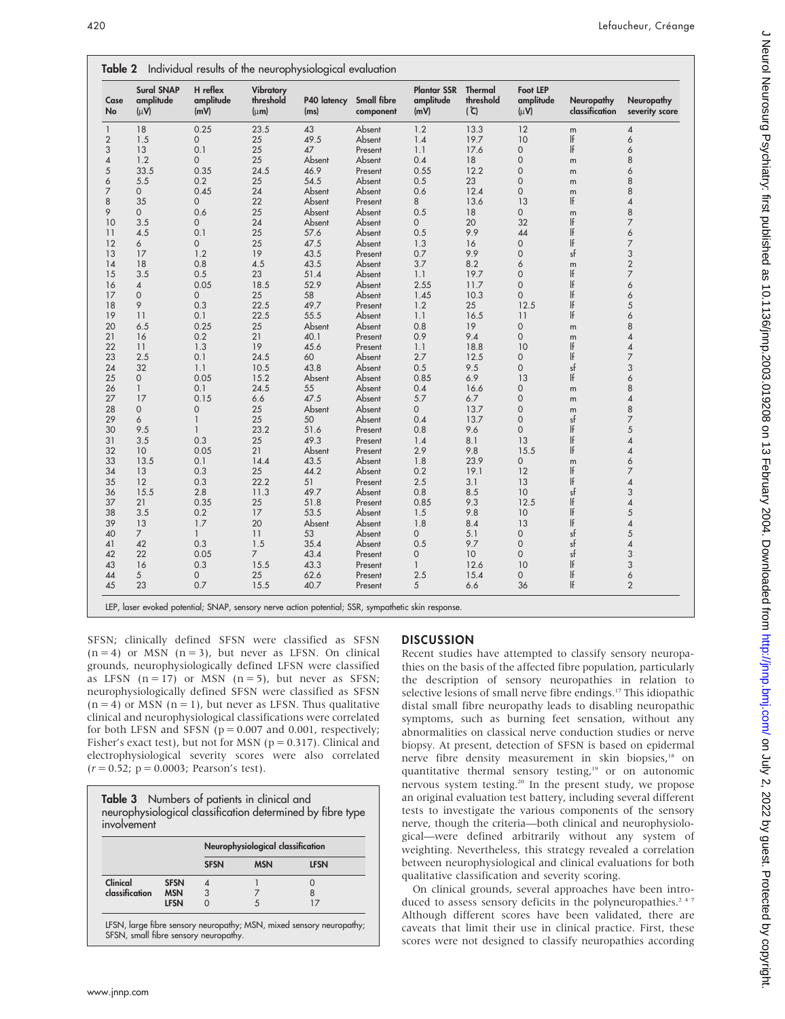| Case<br>No     | <b>Sural SNAP</b><br>amplitude<br>$(\mu \nu)$ | H reflex<br>amplitude<br>(mV) | Vibratory<br>threshold<br>$(\mu m)$ | P40 latency<br>(ms) | Small fibre<br>component | <b>Plantar SSR</b><br>amplitude<br>(mV) | Thermal<br>threshold<br>$(\mathcal{C})$ | <b>Foot LEP</b><br>amplitude<br>$(\mu \nu)$ | Neuropathy<br>classification | Neuropathy<br>severity score |
|----------------|-----------------------------------------------|-------------------------------|-------------------------------------|---------------------|--------------------------|-----------------------------------------|-----------------------------------------|---------------------------------------------|------------------------------|------------------------------|
| $\mathbf{1}$   | 18                                            | 0.25                          | 23.5                                | 43                  | Absent                   | 1.2                                     | 13.3                                    | 12                                          | m                            | 4                            |
| $\overline{2}$ | 1.5                                           | 0                             | 25                                  | 49.5                | Absent                   | 1.4                                     | 19.7                                    | 10                                          | If                           | 6                            |
| 3              | 13                                            | 0.1                           | 25                                  | 47                  | Present                  | 1.1                                     | 17.6                                    | 0                                           | If                           | 6                            |
| 4              | 1.2                                           | 0                             | 25                                  | Absent              | Absent                   | 0.4                                     | 18                                      | 0                                           | m                            | 8                            |
| 5              | 33.5                                          | 0.35                          | 24.5                                | 46.9                | Present                  | 0.55                                    | 12.2                                    | 0                                           | m                            | 6                            |
| 6              | 5.5                                           | 0.2                           | 25                                  | 54.5                | Absent                   | 0.5                                     | 23                                      | $\mathbf 0$                                 | m                            | 8                            |
| $\overline{7}$ | $\mathbf{0}$                                  | 0.45                          | 24                                  | Absent              | Absent                   | 0.6                                     | 12.4                                    | $\mathsf{O}\xspace$                         | m                            | 8                            |
| 8              | 35                                            | 0                             | 22                                  | Absent              | Present                  | 8                                       | 13.6                                    | 13                                          | If                           | 4                            |
| 9              | $\mathbf{O}$                                  | 0.6                           | 25                                  | Absent              | Absent                   | 0.5                                     | 18                                      | $\mathbf 0$                                 | m                            | 8                            |
| 10             | 3.5                                           | 0                             | 24                                  | Absent              | Absent                   | 0                                       | 20                                      | 32                                          | If                           | 7                            |
| 11             | 4.5                                           | 0.1                           | 25                                  | 57.6                | Absent                   | 0.5                                     | 9.9                                     | 44                                          | If                           | 6                            |
| 12             | 6                                             | 0                             | 25                                  | 47.5                | Absent                   | 1.3                                     | 16                                      | 0                                           | If                           | 7                            |
| 13             | 17                                            | 1.2                           | 19                                  | 43.5                | Present                  | 0.7                                     | 9.9                                     | $\mathbf 0$                                 | sf                           | 3                            |
| 14             | 18                                            | 0.8                           | 4.5                                 | 43.5                | Absent                   | 3.7                                     | 8.2                                     | 6                                           | m                            | $\overline{c}$               |
| 15             | 3.5                                           | 0.5                           | 23                                  | 51.4                | Absent                   | 1.1                                     | 19.7                                    | $\mathsf{O}\xspace$                         | If                           | 7                            |
| 16             | 4                                             | 0.05                          | 18.5                                | 52.9                | Absent                   | 2.55                                    | 11.7                                    | $\mathsf{O}\xspace$                         | If                           | 6                            |
| 17             | 0                                             | $\mathbf{O}$                  | 25                                  | 58                  | Absent                   | 1.45                                    | 10.3                                    | $\overline{0}$                              | If                           | 6                            |
| 18             | 9                                             | 0.3                           | 22.5                                | 49.7                | Present                  | 1.2                                     | 25                                      | 12.5                                        | If                           | 5                            |
| 19             | 11                                            | 0.1                           | 22.5                                | 55.5                | Absent                   | 1.1                                     | 16.5                                    | 11                                          | If                           | 6                            |
| 20             | 6.5                                           | 0.25                          | 25                                  | Absent              | Absent                   | 0.8                                     | 19                                      | $\mathsf{O}$                                | m                            | 8                            |
| 21             | 16                                            | 0.2                           | 21                                  | 40.1                | Present                  | 0.9                                     | 9.4                                     | $\mathsf{O}\xspace$                         | m                            | 4                            |
| 22             | 11                                            | 1.3                           | 19                                  | 45.6                | Present                  | 1.1                                     | 18.8                                    | 10                                          | If                           | 4                            |
| 23             | 2.5                                           | 0.1                           | 24.5                                | 60                  | Absent                   | 2.7                                     | 12.5                                    | $\mathsf{O}$                                | If                           | 7                            |
| 24             | 32                                            | 1.1                           | 10.5                                | 43.8                | Absent                   | 0.5                                     | 9.5                                     | $\mathbf{0}$                                | sf                           | 3                            |
| 25             | $\mathsf{O}$                                  | 0.05                          | 15.2                                | Absent              | Absent                   | 0.85                                    | 6.9                                     | 13                                          | If                           | 6                            |
| 26             | $\mathbf{1}$                                  | 0.1                           | 24.5                                | 55                  | Absent                   | 0.4                                     | 16.6                                    | 0                                           |                              | 8                            |
| 27             | 17                                            | 0.15                          | 6.6                                 | 47.5                | Absent                   | 5.7                                     | 6.7                                     | 0                                           | m                            | 4                            |
| 28             | 0                                             | $\mathbf 0$                   | 25                                  | Absent              | Absent                   | 0                                       | 13.7                                    | $\mathsf{O}\xspace$                         | m                            | 8                            |
| 29             | 6                                             | $\mathbf{1}$                  | 25                                  | 50                  |                          | 0.4                                     | 13.7                                    | 0                                           | m<br>sf                      | 7                            |
|                |                                               | $\mathbf{1}$                  | 23.2                                | 51.6                | Absent                   |                                         |                                         | $\mathbf 0$                                 | If                           | 5                            |
| 30             | 9.5                                           |                               |                                     |                     | Present                  | 0.8                                     | 9.6                                     |                                             | If                           |                              |
| 31             | 3.5                                           | 0.3                           | 25                                  | 49.3                | Present                  | 1.4                                     | 8.1                                     | 13                                          | If                           | 4                            |
| 32             | 10                                            | 0.05                          | 21                                  | Absent              | Present                  | 2.9                                     | 9.8                                     | 15.5                                        |                              | 4                            |
| 33             | 13.5                                          | 0.1                           | 14.4                                | 43.5                | Absent                   | 1.8                                     | 23.9                                    | 0                                           | m                            | 6                            |
| 34             | 13                                            | 0.3                           | 25                                  | 44.2                | Absent                   | 0.2                                     | 19.1                                    | 12                                          | If                           | 7                            |
| 35             | 12                                            | 0.3                           | 22.2                                | 51                  | Present                  | 2.5                                     | 3.1                                     | 13                                          | If                           | 4                            |
| 36             | 15.5                                          | 2.8                           | 11.3                                | 49.7                | Absent                   | 0.8                                     | 8.5                                     | 10                                          | sf                           | 3                            |
| 37             | 21                                            | 0.35                          | 25                                  | 51.8                | Present                  | 0.85                                    | 9.3                                     | 12.5                                        | If                           | 4                            |
| 38             | 3.5                                           | 0.2                           | 17                                  | 53.5                | Absent                   | 1.5                                     | 9.8                                     | 10                                          | If                           | 5                            |
| 39             | 13                                            | 1.7                           | 20                                  | Absent              | Absent                   | 1.8                                     | 8.4                                     | 13                                          | If                           | 4                            |
| 40             | $\overline{7}$                                | $\mathbf{1}$                  | 11                                  | 53                  | Absent                   | 0                                       | 5.1                                     | 0                                           | sf                           | 5                            |
| 41             | 42                                            | 0.3                           | 1.5                                 | 35.4                | Absent                   | 0.5                                     | 9.7                                     | $\mathsf{O}\xspace$                         | sf                           | 4                            |
| 42             | 22                                            | 0.05                          | $\overline{7}$                      | 43.4                | Present                  | 0                                       | 10 <sup>°</sup>                         | $\mathsf{O}\xspace$                         | sf                           | 3                            |
| 43             | 16                                            | 0.3                           | 15.5                                | 43.3                | Present                  | $\mathbf{1}$                            | 12.6                                    | 10                                          | If                           | 3                            |
| 44             | 5                                             | $\mathbf{O}$                  | 25                                  | 62.6                | Present                  | 2.5                                     | 15.4                                    | 0                                           | If                           | 6                            |
| 45             | 23                                            | 0.7                           | 15.5                                | 40.7                | Present                  | 5                                       | 6.6                                     | 36                                          | If                           | $\overline{2}$               |

LEP, laser evoked potential; SNAP, sensory nerve action potential; SSR, sympathetic skin response.

SFSN; clinically defined SFSN were classified as SFSN  $(n = 4)$  or MSN  $(n = 3)$ , but never as LFSN. On clinical grounds, neurophysiologically defined LFSN were classified as LFSN  $(n = 17)$  or MSN  $(n = 5)$ , but never as SFSN; neurophysiologically defined SFSN were classified as SFSN  $(n = 4)$  or MSN  $(n = 1)$ , but never as LFSN. Thus qualitative clinical and neurophysiological classifications were correlated for both LFSN and SFSN ( $p = 0.007$  and 0.001, respectively; Fisher's exact test), but not for MSN ( $p = 0.317$ ). Clinical and electrophysiological severity scores were also correlated  $(r = 0.52; p = 0.0003;$  Pearson's test).

|                |             | Neurophysiological classification |            |             |
|----------------|-------------|-----------------------------------|------------|-------------|
|                |             | <b>SFSN</b>                       | <b>MSN</b> | <b>LFSN</b> |
| Clinical       | <b>SFSN</b> | $\boldsymbol{\vartriangle}$       |            |             |
| classification | <b>MSN</b>  | 3                                 |            |             |
|                | <b>LFSN</b> |                                   |            |             |

# DISCUSSION

Recent studies have attempted to classify sensory neuropathies on the basis of the affected fibre population, particularly the description of sensory neuropathies in relation to selective lesions of small nerve fibre endings.<sup>17</sup> This idiopathic distal small fibre neuropathy leads to disabling neuropathic symptoms, such as burning feet sensation, without any abnormalities on classical nerve conduction studies or nerve biopsy. At present, detection of SFSN is based on epidermal nerve fibre density measurement in skin biopsies,<sup>18</sup> on quantitative thermal sensory testing,<sup>19</sup> or on autonomic nervous system testing.20 In the present study, we propose an original evaluation test battery, including several different tests to investigate the various components of the sensory nerve, though the criteria—both clinical and neurophysiological—were defined arbitrarily without any system of weighting. Nevertheless, this strategy revealed a correlation between neurophysiological and clinical evaluations for both qualitative classification and severity scoring.

On clinical grounds, several approaches have been introduced to assess sensory deficits in the polyneuropathies.<sup>247</sup> Although different scores have been validated, there are caveats that limit their use in clinical practice. First, these scores were not designed to classify neuropathies according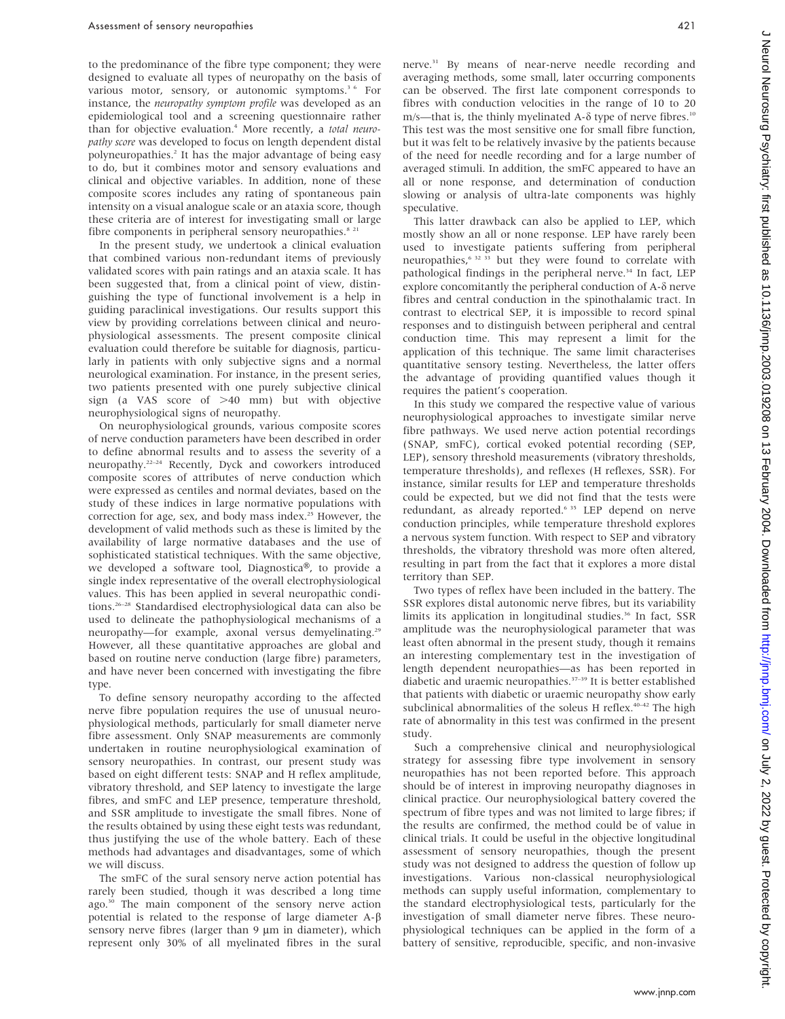to the predominance of the fibre type component; they were designed to evaluate all types of neuropathy on the basis of various motor, sensory, or autonomic symptoms.<sup>3 6</sup> For instance, the neuropathy symptom profile was developed as an epidemiological tool and a screening questionnaire rather than for objective evaluation.<sup>4</sup> More recently, a total neuropathy score was developed to focus on length dependent distal polyneuropathies.2 It has the major advantage of being easy to do, but it combines motor and sensory evaluations and clinical and objective variables. In addition, none of these composite scores includes any rating of spontaneous pain intensity on a visual analogue scale or an ataxia score, though these criteria are of interest for investigating small or large fibre components in peripheral sensory neuropathies.<sup>8 21</sup>

In the present study, we undertook a clinical evaluation that combined various non-redundant items of previously validated scores with pain ratings and an ataxia scale. It has been suggested that, from a clinical point of view, distinguishing the type of functional involvement is a help in guiding paraclinical investigations. Our results support this view by providing correlations between clinical and neurophysiological assessments. The present composite clinical evaluation could therefore be suitable for diagnosis, particularly in patients with only subjective signs and a normal neurological examination. For instance, in the present series, two patients presented with one purely subjective clinical sign (a VAS score of  $>40$  mm) but with objective neurophysiological signs of neuropathy.

On neurophysiological grounds, various composite scores of nerve conduction parameters have been described in order to define abnormal results and to assess the severity of a neuropathy.22–24 Recently, Dyck and coworkers introduced composite scores of attributes of nerve conduction which were expressed as centiles and normal deviates, based on the study of these indices in large normative populations with correction for age, sex, and body mass index.<sup>25</sup> However, the development of valid methods such as these is limited by the availability of large normative databases and the use of sophisticated statistical techniques. With the same objective, we developed a software tool, Diagnostica®, to provide a single index representative of the overall electrophysiological values. This has been applied in several neuropathic conditions.26–28 Standardised electrophysiological data can also be used to delineate the pathophysiological mechanisms of a neuropathy-for example, axonal versus demyelinating.<sup>29</sup> However, all these quantitative approaches are global and based on routine nerve conduction (large fibre) parameters, and have never been concerned with investigating the fibre type.

To define sensory neuropathy according to the affected nerve fibre population requires the use of unusual neurophysiological methods, particularly for small diameter nerve fibre assessment. Only SNAP measurements are commonly undertaken in routine neurophysiological examination of sensory neuropathies. In contrast, our present study was based on eight different tests: SNAP and H reflex amplitude, vibratory threshold, and SEP latency to investigate the large fibres, and smFC and LEP presence, temperature threshold, and SSR amplitude to investigate the small fibres. None of the results obtained by using these eight tests was redundant, thus justifying the use of the whole battery. Each of these methods had advantages and disadvantages, some of which we will discuss.

The smFC of the sural sensory nerve action potential has rarely been studied, though it was described a long time ago.<sup>30</sup> The main component of the sensory nerve action potential is related to the response of large diameter  $A - \beta$ sensory nerve fibres (larger than  $9 \mu m$  in diameter), which represent only 30% of all myelinated fibres in the sural nerve.<sup>31</sup> By means of near-nerve needle recording and averaging methods, some small, later occurring components can be observed. The first late component corresponds to fibres with conduction velocities in the range of 10 to 20

m/s—that is, the thinly myelinated A- $\delta$  type of nerve fibres.<sup>10</sup> This test was the most sensitive one for small fibre function, but it was felt to be relatively invasive by the patients because of the need for needle recording and for a large number of averaged stimuli. In addition, the smFC appeared to have an all or none response, and determination of conduction slowing or analysis of ultra-late components was highly speculative.

This latter drawback can also be applied to LEP, which mostly show an all or none response. LEP have rarely been used to investigate patients suffering from peripheral neuropathies,6 32 33 but they were found to correlate with pathological findings in the peripheral nerve.<sup>34</sup> In fact, LEP explore concomitantly the peripheral conduction of  $A-\delta$  nerve fibres and central conduction in the spinothalamic tract. In contrast to electrical SEP, it is impossible to record spinal responses and to distinguish between peripheral and central conduction time. This may represent a limit for the application of this technique. The same limit characterises quantitative sensory testing. Nevertheless, the latter offers the advantage of providing quantified values though it requires the patient's cooperation.

In this study we compared the respective value of various neurophysiological approaches to investigate similar nerve fibre pathways. We used nerve action potential recordings (SNAP, smFC), cortical evoked potential recording (SEP, LEP), sensory threshold measurements (vibratory thresholds, temperature thresholds), and reflexes (H reflexes, SSR). For instance, similar results for LEP and temperature thresholds could be expected, but we did not find that the tests were redundant, as already reported.<sup>6 35</sup> LEP depend on nerve conduction principles, while temperature threshold explores a nervous system function. With respect to SEP and vibratory thresholds, the vibratory threshold was more often altered, resulting in part from the fact that it explores a more distal territory than SEP.

Two types of reflex have been included in the battery. The SSR explores distal autonomic nerve fibres, but its variability limits its application in longitudinal studies.<sup>36</sup> In fact, SSR amplitude was the neurophysiological parameter that was least often abnormal in the present study, though it remains an interesting complementary test in the investigation of length dependent neuropathies—as has been reported in diabetic and uraemic neuropathies.<sup>37-39</sup> It is better established that patients with diabetic or uraemic neuropathy show early subclinical abnormalities of the soleus H reflex.<sup>40-42</sup> The high rate of abnormality in this test was confirmed in the present study.

Such a comprehensive clinical and neurophysiological strategy for assessing fibre type involvement in sensory neuropathies has not been reported before. This approach should be of interest in improving neuropathy diagnoses in clinical practice. Our neurophysiological battery covered the spectrum of fibre types and was not limited to large fibres; if the results are confirmed, the method could be of value in clinical trials. It could be useful in the objective longitudinal assessment of sensory neuropathies, though the present study was not designed to address the question of follow up investigations. Various non-classical neurophysiological methods can supply useful information, complementary to the standard electrophysiological tests, particularly for the investigation of small diameter nerve fibres. These neurophysiological techniques can be applied in the form of a battery of sensitive, reproducible, specific, and non-invasive